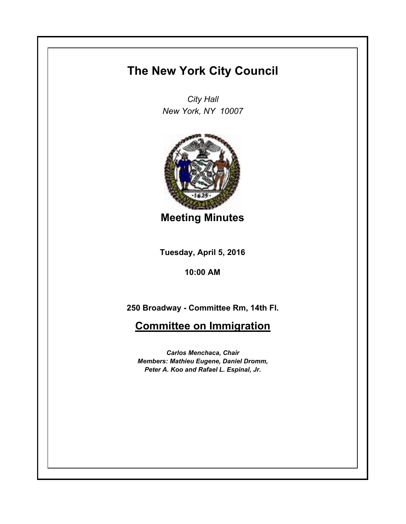## **The New York City Council**

*City Hall New York, NY 10007*



**Meeting Minutes**

**Tuesday, April 5, 2016**

**10:00 AM**

**250 Broadway - Committee Rm, 14th Fl.**

**Committee on Immigration**

*Carlos Menchaca, Chair Members: Mathieu Eugene, Daniel Dromm, Peter A. Koo and Rafael L. Espinal, Jr.*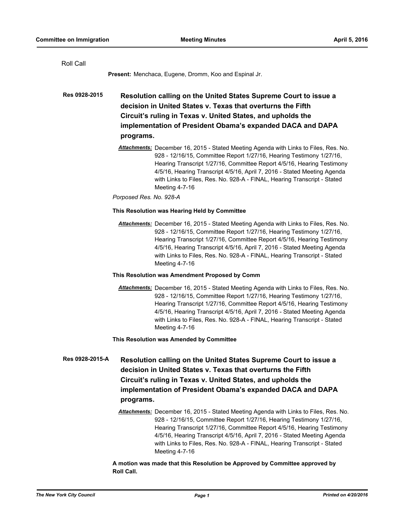| Roll Call       |                                                                                                                                                                                                                                                                                                                                                                                                                  |
|-----------------|------------------------------------------------------------------------------------------------------------------------------------------------------------------------------------------------------------------------------------------------------------------------------------------------------------------------------------------------------------------------------------------------------------------|
|                 | <b>Present:</b> Menchaca, Eugene, Dromm, Koo and Espinal Jr.                                                                                                                                                                                                                                                                                                                                                     |
| Res 0928-2015   | Resolution calling on the United States Supreme Court to issue a<br>decision in United States v. Texas that overturns the Fifth<br>Circuit's ruling in Texas v. United States, and upholds the<br>implementation of President Obama's expanded DACA and DAPA<br>programs.                                                                                                                                        |
|                 | Attachments: December 16, 2015 - Stated Meeting Agenda with Links to Files, Res. No.<br>928 - 12/16/15, Committee Report 1/27/16, Hearing Testimony 1/27/16,<br>Hearing Transcript 1/27/16, Committee Report 4/5/16, Hearing Testimony<br>4/5/16, Hearing Transcript 4/5/16, April 7, 2016 - Stated Meeting Agenda<br>with Links to Files, Res. No. 928-A - FINAL, Hearing Transcript - Stated<br>Meeting 4-7-16 |
|                 | Porposed Res. No. 928-A                                                                                                                                                                                                                                                                                                                                                                                          |
|                 | This Resolution was Hearing Held by Committee                                                                                                                                                                                                                                                                                                                                                                    |
|                 | Attachments: December 16, 2015 - Stated Meeting Agenda with Links to Files, Res. No.<br>928 - 12/16/15, Committee Report 1/27/16, Hearing Testimony 1/27/16,<br>Hearing Transcript 1/27/16, Committee Report 4/5/16, Hearing Testimony<br>4/5/16, Hearing Transcript 4/5/16, April 7, 2016 - Stated Meeting Agenda<br>with Links to Files, Res. No. 928-A - FINAL, Hearing Transcript - Stated<br>Meeting 4-7-16 |
|                 | This Resolution was Amendment Proposed by Comm                                                                                                                                                                                                                                                                                                                                                                   |
|                 | Attachments: December 16, 2015 - Stated Meeting Agenda with Links to Files, Res. No.<br>928 - 12/16/15, Committee Report 1/27/16, Hearing Testimony 1/27/16,<br>Hearing Transcript 1/27/16, Committee Report 4/5/16, Hearing Testimony<br>4/5/16, Hearing Transcript 4/5/16, April 7, 2016 - Stated Meeting Agenda<br>with Links to Files, Res. No. 928-A - FINAL, Hearing Transcript - Stated<br>Meeting 4-7-16 |
|                 | This Resolution was Amended by Committee                                                                                                                                                                                                                                                                                                                                                                         |
| Res 0928-2015-A | Resolution calling on the United States Supreme Court to issue a<br>decision in United States v. Texas that overturns the Fifth<br>Circuit's ruling in Texas v. United States, and upholds the<br>implementation of President Obama's expanded DACA and DAPA<br>programs.                                                                                                                                        |
|                 | Attachments: December 16, 2015 - Stated Meeting Agenda with Links to Files, Res. No.<br>928 - 12/16/15, Committee Report 1/27/16, Hearing Testimony 1/27/16,<br>Hearing Transcript 1/27/16, Committee Report 4/5/16, Hearing Testimony<br>4/5/16, Hearing Transcript 4/5/16, April 7, 2016 - Stated Meeting Agenda<br>with Links to Files, Res. No. 928-A - FINAL, Hearing Transcript - Stated<br>Meeting 4-7-16 |

## **A motion was made that this Resolution be Approved by Committee approved by Roll Call.**